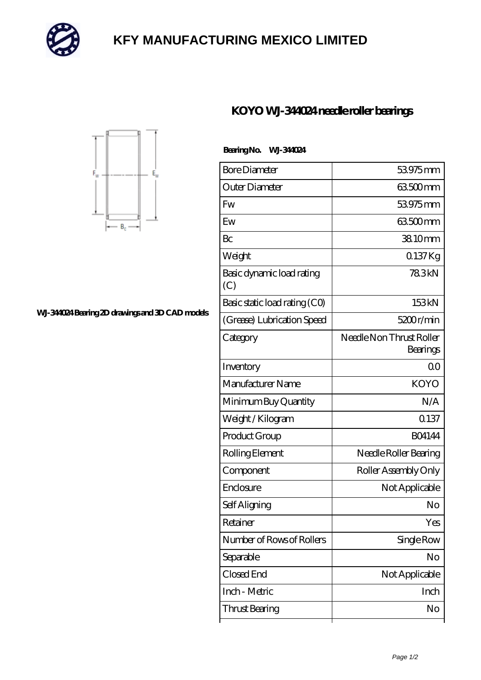

## **[KFY MANUFACTURING MEXICO LIMITED](https://mailemotion.tv)**

 **Bearing No. WJ-344024**



## **[WJ-344024 Bearing 2D drawings and 3D CAD models](https://mailemotion.tv/pic-414834.html)**

| <b>Bore Diameter</b>             | 53975mm                              |
|----------------------------------|--------------------------------------|
| Outer Diameter                   | 63.500mm                             |
| Fw                               | 53975 mm                             |
| Ew                               | 63.500mm                             |
| Bc                               | 38.10mm                              |
| Weight                           | 0.137Kg                              |
| Basic dynamic load rating<br>(C) | 783kN                                |
| Basic static load rating (CO)    | 153kN                                |
| (Grease) Lubrication Speed       | 5200r/min                            |
| Category                         | Needle Non Thrust Roller<br>Bearings |
| Inventory                        | ΩO                                   |
| Manufacturer Name                | <b>KOYO</b>                          |
| Minimum Buy Quantity             | N/A                                  |
| Weight / Kilogram                | 0.137                                |
| Product Group                    | <b>BO4144</b>                        |
| Rolling Element                  | Needle Roller Bearing                |

Component Roller Assembly Only

Enclosure Not Applicable

Self Aligning No

Retainer Yes

Number of Rows of Rollers | Single Row

Separable No

Closed End Not Applicable

Inch - Metric Inch

Thrust Bearing No

**[KOYO WJ-344024 needle roller bearings](https://mailemotion.tv/at-414834-koyo-wj-344024-needle-roller-bearings.html)**